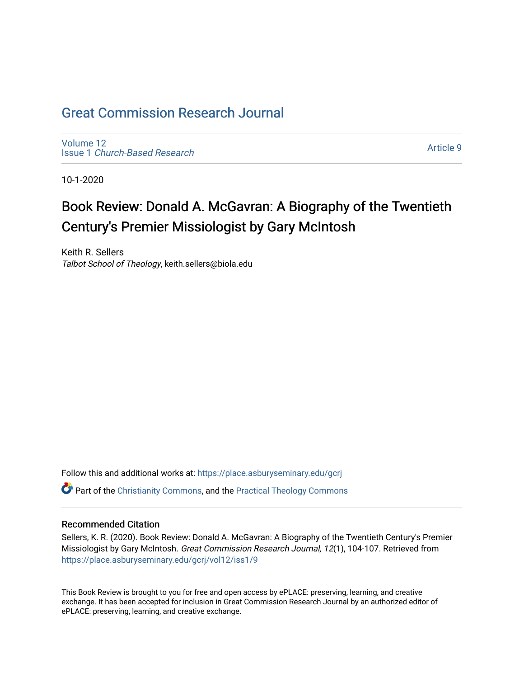## [Great Commission Research Journal](https://place.asburyseminary.edu/gcrj)

[Volume 12](https://place.asburyseminary.edu/gcrj/vol12) Issue 1 [Church-Based Research](https://place.asburyseminary.edu/gcrj/vol12/iss1)

[Article 9](https://place.asburyseminary.edu/gcrj/vol12/iss1/9) 

10-1-2020

# Book Review: Donald A. McGavran: A Biography of the Twentieth Century's Premier Missiologist by Gary McIntosh

Keith R. Sellers Talbot School of Theology, keith.sellers@biola.edu

Follow this and additional works at: [https://place.asburyseminary.edu/gcrj](https://place.asburyseminary.edu/gcrj?utm_source=place.asburyseminary.edu%2Fgcrj%2Fvol12%2Fiss1%2F9&utm_medium=PDF&utm_campaign=PDFCoverPages)   $\bullet$  Part of the [Christianity Commons,](http://network.bepress.com/hgg/discipline/1181?utm_source=place.asburyseminary.edu%2Fgcrj%2Fvol12%2Fiss1%2F9&utm_medium=PDF&utm_campaign=PDFCoverPages) and the Practical Theology Commons

#### Recommended Citation

Sellers, K. R. (2020). Book Review: Donald A. McGavran: A Biography of the Twentieth Century's Premier Missiologist by Gary McIntosh. Great Commission Research Journal, 12(1), 104-107. Retrieved from [https://place.asburyseminary.edu/gcrj/vol12/iss1/9](https://place.asburyseminary.edu/gcrj/vol12/iss1/9?utm_source=place.asburyseminary.edu%2Fgcrj%2Fvol12%2Fiss1%2F9&utm_medium=PDF&utm_campaign=PDFCoverPages) 

This Book Review is brought to you for free and open access by ePLACE: preserving, learning, and creative exchange. It has been accepted for inclusion in Great Commission Research Journal by an authorized editor of ePLACE: preserving, learning, and creative exchange.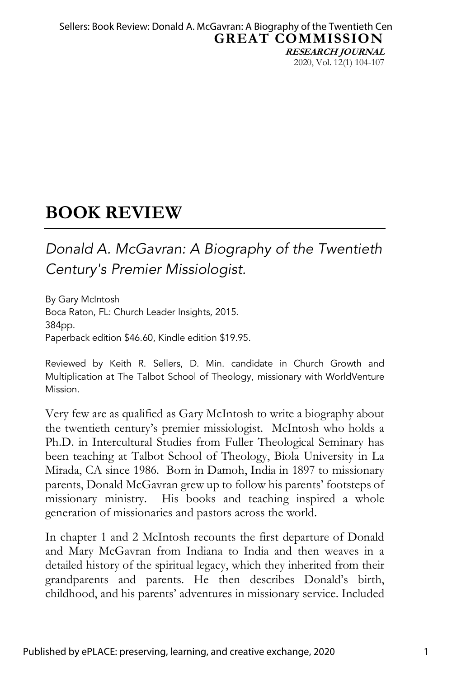**GREAT COMMISSION RESEARCH JOURNAL** 2020, Vol. 12(1) 104-107 Sellers: Book Review: Donald A. McGavran: A Biography of the Twentieth Cen

### **BOOK REVIEW**

### *Donald A. McGavran: A Biography of the Twentieth Century's Premier Missiologist.*

By Gary McIntosh Boca Raton, FL: Church Leader Insights, 2015. 384pp. Paperback edition \$46.60, Kindle edition \$19.95.

Reviewed by Keith R. Sellers, D. Min. candidate in Church Growth and Multiplication at The Talbot School of Theology, missionary with WorldVenture Mission.

Very few are as qualified as Gary McIntosh to write a biography about the twentieth century's premier missiologist. McIntosh who holds a Ph.D. in Intercultural Studies from Fuller Theological Seminary has been teaching at Talbot School of Theology, Biola University in La Mirada, CA since 1986. Born in Damoh, India in 1897 to missionary parents, Donald McGavran grew up to follow his parents' footsteps of missionary ministry. His books and teaching inspired a whole generation of missionaries and pastors across the world.

In chapter 1 and 2 McIntosh recounts the first departure of Donald and Mary McGavran from Indiana to India and then weaves in a detailed history of the spiritual legacy, which they inherited from their grandparents and parents. He then describes Donald's birth, childhood, and his parents' adventures in missionary service. Included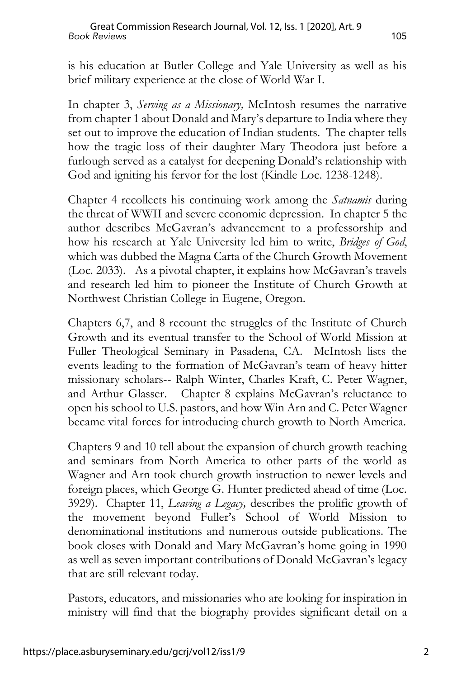is his education at Butler College and Yale University as well as his brief military experience at the close of World War I.

In chapter 3, *Serving as a Missionary,* McIntosh resumes the narrative from chapter 1 about Donald and Mary's departure to India where they set out to improve the education of Indian students. The chapter tells how the tragic loss of their daughter Mary Theodora just before a furlough served as a catalyst for deepening Donald's relationship with God and igniting his fervor for the lost (Kindle Loc. 1238-1248).

Chapter 4 recollects his continuing work among the *Satnamis* during the threat of WWII and severe economic depression. In chapter 5 the author describes McGavran's advancement to a professorship and how his research at Yale University led him to write, *Bridges of God*, which was dubbed the Magna Carta of the Church Growth Movement (Loc. 2033). As a pivotal chapter, it explains how McGavran's travels and research led him to pioneer the Institute of Church Growth at Northwest Christian College in Eugene, Oregon.

Chapters 6,7, and 8 recount the struggles of the Institute of Church Growth and its eventual transfer to the School of World Mission at Fuller Theological Seminary in Pasadena, CA. McIntosh lists the events leading to the formation of McGavran's team of heavy hitter missionary scholars-- Ralph Winter, Charles Kraft, C. Peter Wagner, and Arthur Glasser. Chapter 8 explains McGavran's reluctance to open his school to U.S. pastors, and how Win Arn and C. Peter Wagner became vital forces for introducing church growth to North America.

Chapters 9 and 10 tell about the expansion of church growth teaching and seminars from North America to other parts of the world as Wagner and Arn took church growth instruction to newer levels and foreign places, which George G. Hunter predicted ahead of time (Loc. 3929). Chapter 11, *Leaving a Legacy,* describes the prolific growth of the movement beyond Fuller's School of World Mission to denominational institutions and numerous outside publications. The book closes with Donald and Mary McGavran's home going in 1990 as well as seven important contributions of Donald McGavran's legacy that are still relevant today.

Pastors, educators, and missionaries who are looking for inspiration in ministry will find that the biography provides significant detail on a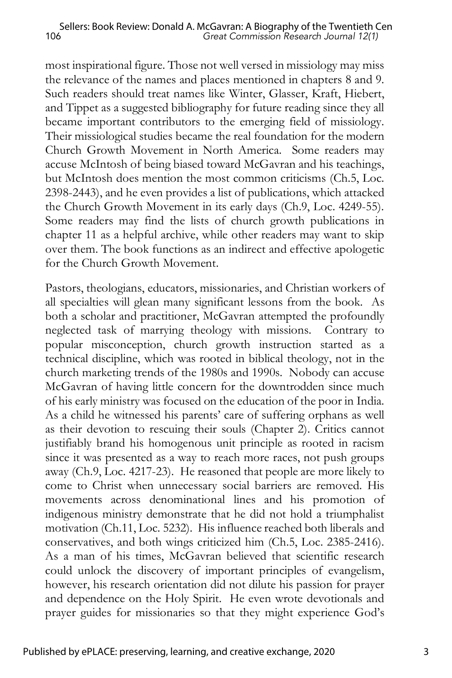most inspirational figure. Those not well versed in missiology may miss the relevance of the names and places mentioned in chapters 8 and 9. Such readers should treat names like Winter, Glasser, Kraft, Hiebert, and Tippet as a suggested bibliography for future reading since they all became important contributors to the emerging field of missiology. Their missiological studies became the real foundation for the modern Church Growth Movement in North America. Some readers may accuse McIntosh of being biased toward McGavran and his teachings, but McIntosh does mention the most common criticisms (Ch.5, Loc. 2398-2443), and he even provides a list of publications, which attacked the Church Growth Movement in its early days (Ch.9, Loc. 4249-55). Some readers may find the lists of church growth publications in chapter 11 as a helpful archive, while other readers may want to skip over them. The book functions as an indirect and effective apologetic for the Church Growth Movement.

Pastors, theologians, educators, missionaries, and Christian workers of all specialties will glean many significant lessons from the book. As both a scholar and practitioner, McGavran attempted the profoundly neglected task of marrying theology with missions. Contrary to popular misconception, church growth instruction started as a technical discipline, which was rooted in biblical theology, not in the church marketing trends of the 1980s and 1990s. Nobody can accuse McGavran of having little concern for the downtrodden since much of his early ministry was focused on the education of the poor in India. As a child he witnessed his parents' care of suffering orphans as well as their devotion to rescuing their souls (Chapter 2). Critics cannot justifiably brand his homogenous unit principle as rooted in racism since it was presented as a way to reach more races, not push groups away (Ch.9, Loc. 4217-23). He reasoned that people are more likely to come to Christ when unnecessary social barriers are removed. His movements across denominational lines and his promotion of indigenous ministry demonstrate that he did not hold a triumphalist motivation (Ch.11, Loc. 5232). His influence reached both liberals and conservatives, and both wings criticized him (Ch.5, Loc. 2385-2416). As a man of his times, McGavran believed that scientific research could unlock the discovery of important principles of evangelism, however, his research orientation did not dilute his passion for prayer and dependence on the Holy Spirit. He even wrote devotionals and prayer guides for missionaries so that they might experience God's